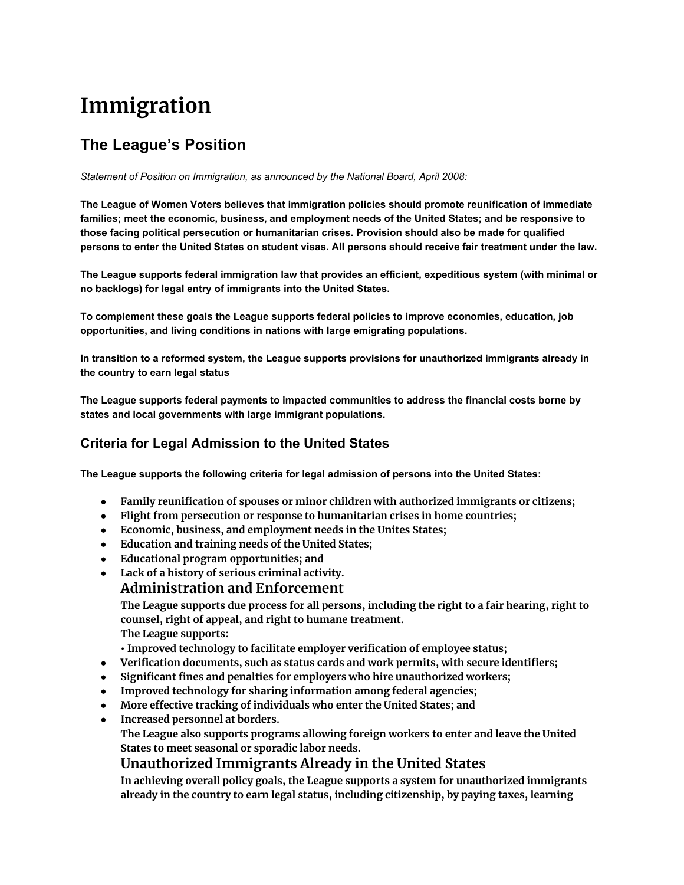# **Immigration**

# **The League's Position**

*Statement of Position on Immigration, as announced by the National Board, April 2008:*

**The League of Women Voters believes that immigration policies should promote reunification of immediate families; meet the economic, business, and employment needs of the United States; and be responsive to those facing political persecution or humanitarian crises. Provision should also be made for qualified persons to enter the United States on student visas. All persons should receive fair treatment under the law.**

**The League supports federal immigration law that provides an efficient, expeditious system (with minimal or no backlogs) for legal entry of immigrants into the United States.**

**To complement these goals the League supports federal policies to improve economies, education, job opportunities, and living conditions in nations with large emigrating populations.**

**In transition to a reformed system, the League supports provisions for unauthorized immigrants already in the country to earn legal status**

**The League supports federal payments to impacted communities to address the financial costs borne by states and local governments with large immigrant populations.**

### **Criteria for Legal Admission to the United States**

**The League supports the following criteria for legal admission of persons into the United States:**

- **● Family reunification of spouses or minor children with authorized immigrants or citizens;**
- **● Flight from persecution or response to humanitarian crises in home countries;**
- **● Economic, business, and employment needs in the Unites States;**
- **● Education and training needs of the United States;**
- **● Educational program opportunities; and**
- **● Lack of a history of serious criminal activity.**

#### **Administration and Enforcement**

**The League supports due process for all persons, including the right to a fair hearing, right to counsel, right of appeal, and right to humane treatment. The League supports:**

- **• Improved technology to facilitate employer verification of employee status;**
- **● Verification documents, such as status cards and work permits, with secure identifiers;**
- **● Significant fines and penalties for employers who hire unauthorized workers;**
- **● Improved technology for sharing information among federal agencies;**
- **● More effective tracking of individuals who enter the United States; and**
- **● Increased personnel at borders.**

**The League also supports programs allowing foreign workers to enter and leave the United States to meet seasonal or sporadic labor needs.**

## **Unauthorized Immigrants Already in the United States**

**In achieving overall policy goals, the League supports a system for unauthorized immigrants already in the country to earn legal status, including citizenship, by paying taxes, learning**